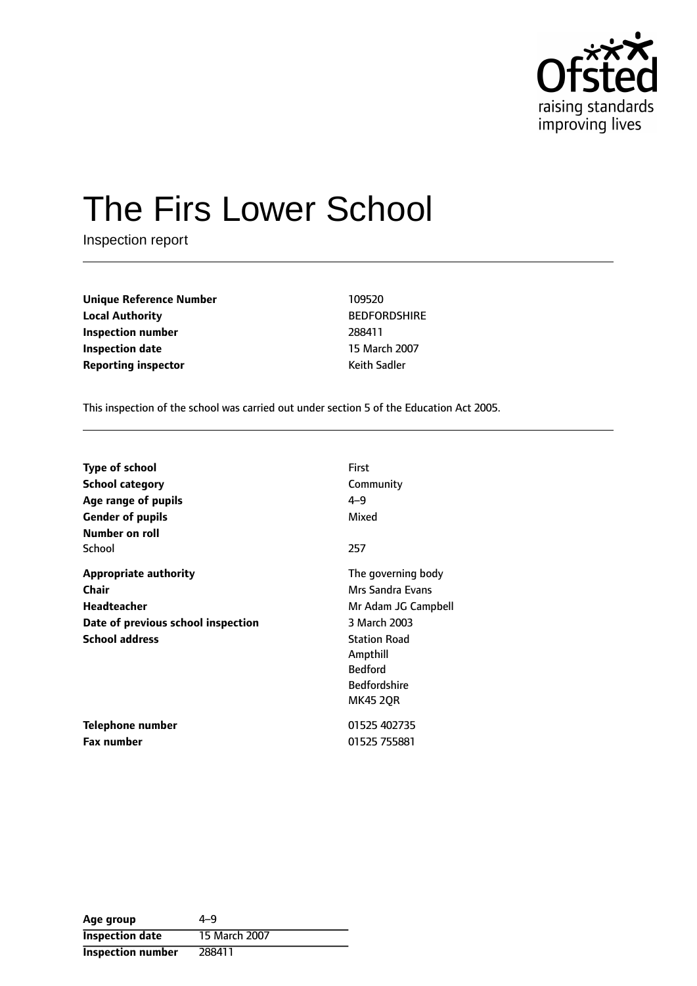

# The Firs Lower School

Inspection report

**Unique Reference Number** 109520 **Local Authority** BEDFORDSHIRE **Inspection number** 288411 **Inspection date** 15 March 2007 **Reporting inspector CONFIDENTIAL REPORTING Keith Sadler** 

This inspection of the school was carried out under section 5 of the Education Act 2005.

| <b>Type of school</b>              | First               |
|------------------------------------|---------------------|
| <b>School category</b>             | Community           |
| Age range of pupils                | $4 - 9$             |
| <b>Gender of pupils</b>            | Mixed               |
| Number on roll                     |                     |
| School                             | 257                 |
| Appropriate authority              | The governing body  |
| Chair                              | Mrs Sandra Evans    |
| <b>Headteacher</b>                 | Mr Adam JG Campbell |
| Date of previous school inspection | 3 March 2003        |
| <b>School address</b>              | <b>Station Road</b> |
|                                    | Ampthill            |
|                                    | <b>Bedford</b>      |
|                                    | <b>Bedfordshire</b> |
|                                    | <b>MK45 20R</b>     |
| Telephone number                   | 01525 402735        |
| <b>Fax number</b>                  | 01525 755881        |

| Age group                | $4 - 9$       |
|--------------------------|---------------|
| <b>Inspection date</b>   | 15 March 2007 |
| <b>Inspection number</b> | 288411        |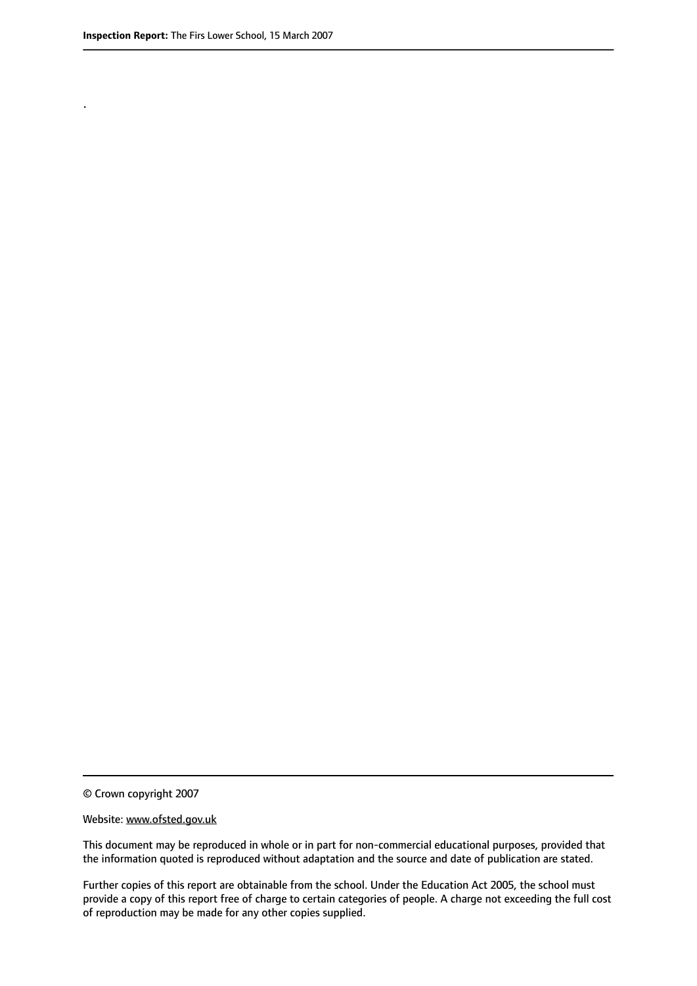.

© Crown copyright 2007

#### Website: www.ofsted.gov.uk

This document may be reproduced in whole or in part for non-commercial educational purposes, provided that the information quoted is reproduced without adaptation and the source and date of publication are stated.

Further copies of this report are obtainable from the school. Under the Education Act 2005, the school must provide a copy of this report free of charge to certain categories of people. A charge not exceeding the full cost of reproduction may be made for any other copies supplied.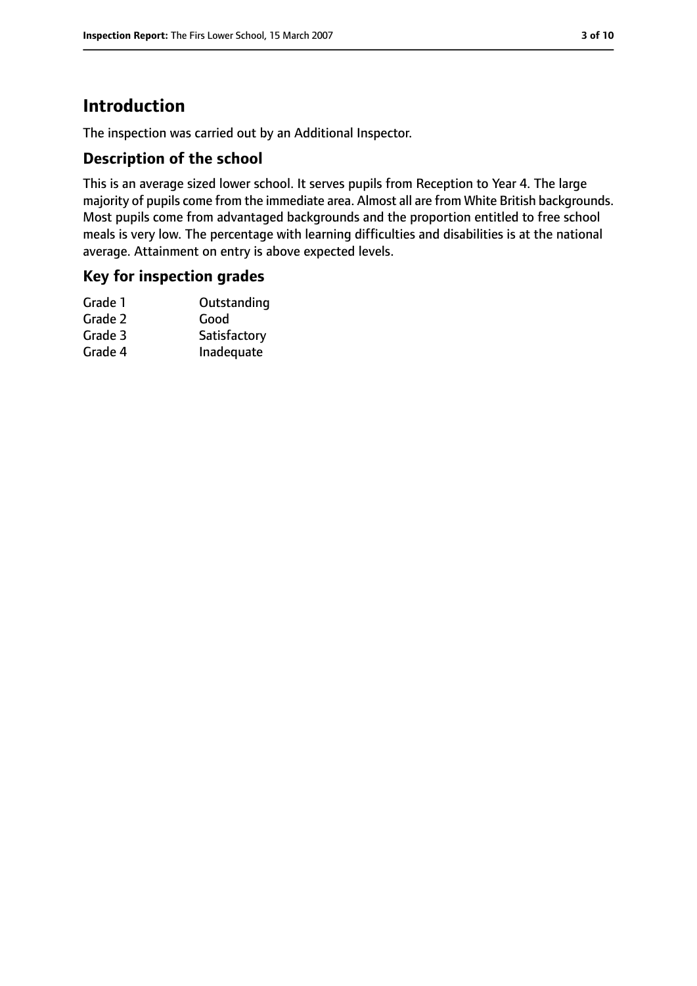# **Introduction**

The inspection was carried out by an Additional Inspector.

### **Description of the school**

This is an average sized lower school. It serves pupils from Reception to Year 4. The large majority of pupils come from the immediate area. Almost all are from White British backgrounds. Most pupils come from advantaged backgrounds and the proportion entitled to free school meals is very low. The percentage with learning difficulties and disabilities is at the national average. Attainment on entry is above expected levels.

# **Key for inspection grades**

| Outstanding  |
|--------------|
| Good         |
| Satisfactory |
| Inadequate   |
|              |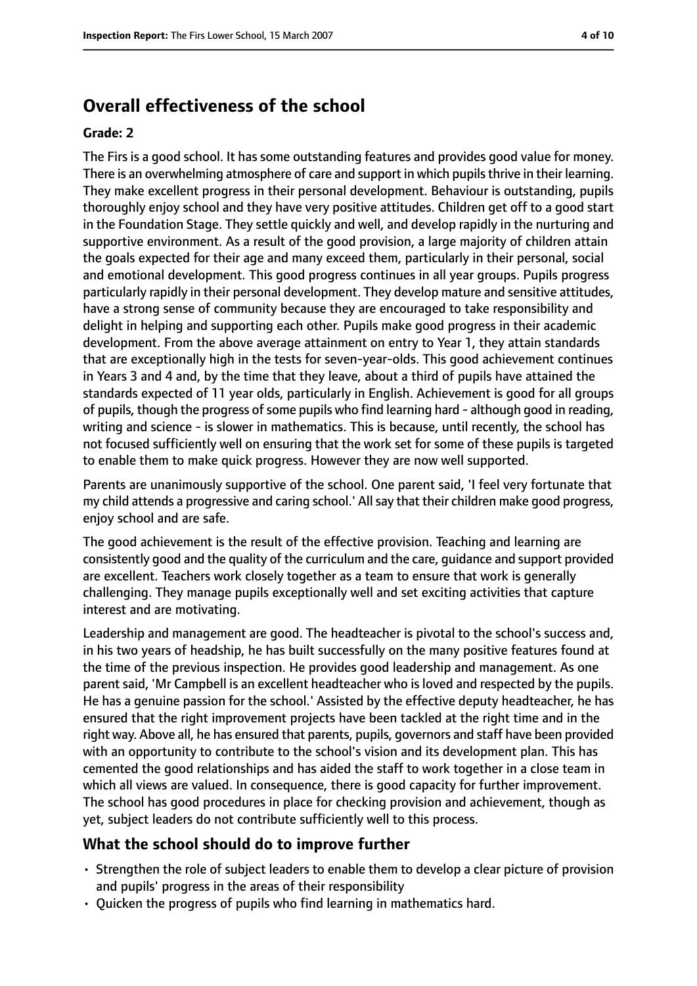# **Overall effectiveness of the school**

#### **Grade: 2**

The Firs is a good school. It has some outstanding features and provides good value for money. There is an overwhelming atmosphere of care and support in which pupilsthrive in their learning. They make excellent progress in their personal development. Behaviour is outstanding, pupils thoroughly enjoy school and they have very positive attitudes. Children get off to a good start in the Foundation Stage. They settle quickly and well, and develop rapidly in the nurturing and supportive environment. As a result of the good provision, a large majority of children attain the goals expected for their age and many exceed them, particularly in their personal, social and emotional development. This good progress continues in all year groups. Pupils progress particularly rapidly in their personal development. They develop mature and sensitive attitudes, have a strong sense of community because they are encouraged to take responsibility and delight in helping and supporting each other. Pupils make good progress in their academic development. From the above average attainment on entry to Year 1, they attain standards that are exceptionally high in the tests for seven-year-olds. This good achievement continues in Years 3 and 4 and, by the time that they leave, about a third of pupils have attained the standards expected of 11 year olds, particularly in English. Achievement is good for all groups of pupils, though the progress of some pupils who find learning hard - although good in reading, writing and science - is slower in mathematics. This is because, until recently, the school has not focused sufficiently well on ensuring that the work set for some of these pupils is targeted to enable them to make quick progress. However they are now well supported.

Parents are unanimously supportive of the school. One parent said, 'I feel very fortunate that my child attends a progressive and caring school.' Allsay that their children make good progress, enjoy school and are safe.

The good achievement is the result of the effective provision. Teaching and learning are consistently good and the quality of the curriculum and the care, guidance and support provided are excellent. Teachers work closely together as a team to ensure that work is generally challenging. They manage pupils exceptionally well and set exciting activities that capture interest and are motivating.

Leadership and management are good. The headteacher is pivotal to the school's success and, in his two years of headship, he has built successfully on the many positive features found at the time of the previous inspection. He provides good leadership and management. As one parent said, 'Mr Campbell is an excellent headteacher who is loved and respected by the pupils. He has a genuine passion for the school.' Assisted by the effective deputy headteacher, he has ensured that the right improvement projects have been tackled at the right time and in the right way. Above all, he has ensured that parents, pupils, governors and staff have been provided with an opportunity to contribute to the school's vision and its development plan. This has cemented the good relationships and has aided the staff to work together in a close team in which all views are valued. In consequence, there is good capacity for further improvement. The school has good procedures in place for checking provision and achievement, though as yet, subject leaders do not contribute sufficiently well to this process.

### **What the school should do to improve further**

- Strengthen the role of subject leaders to enable them to develop a clear picture of provision and pupils' progress in the areas of their responsibility
- Quicken the progress of pupils who find learning in mathematics hard.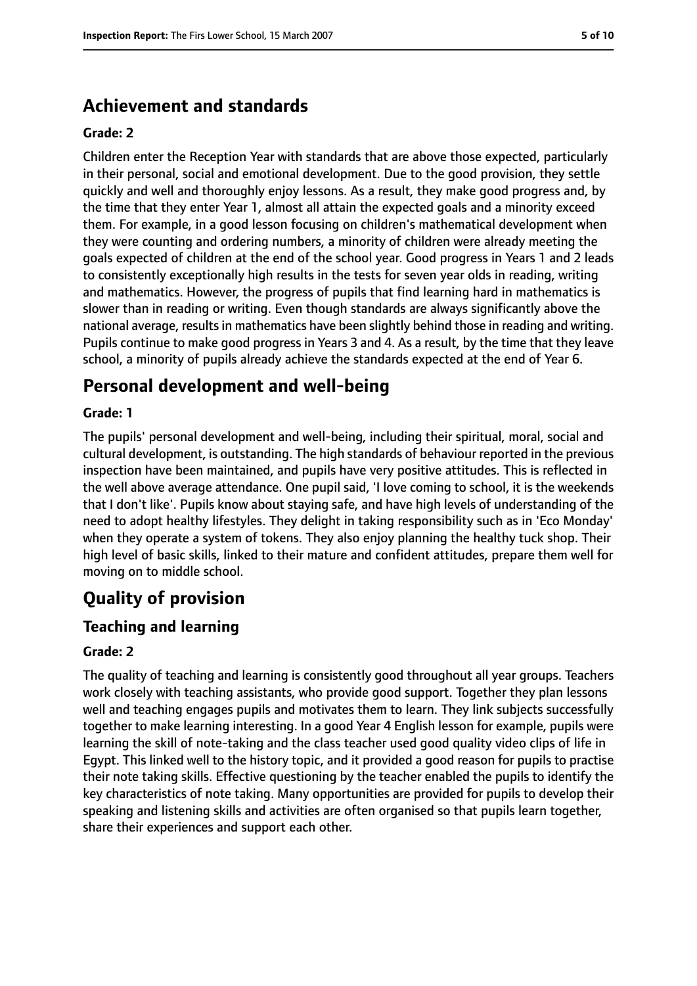# **Achievement and standards**

#### **Grade: 2**

Children enter the Reception Year with standards that are above those expected, particularly in their personal, social and emotional development. Due to the good provision, they settle quickly and well and thoroughly enjoy lessons. As a result, they make good progress and, by the time that they enter Year 1, almost all attain the expected goals and a minority exceed them. For example, in a good lesson focusing on children's mathematical development when they were counting and ordering numbers, a minority of children were already meeting the goals expected of children at the end of the school year. Good progress in Years 1 and 2 leads to consistently exceptionally high results in the tests for seven year olds in reading, writing and mathematics. However, the progress of pupils that find learning hard in mathematics is slower than in reading or writing. Even though standards are always significantly above the national average, results in mathematics have been slightly behind those in reading and writing. Pupils continue to make good progress in Years 3 and 4. As a result, by the time that they leave school, a minority of pupils already achieve the standards expected at the end of Year 6.

# **Personal development and well-being**

#### **Grade: 1**

The pupils' personal development and well-being, including their spiritual, moral, social and cultural development, is outstanding. The high standards of behaviour reported in the previous inspection have been maintained, and pupils have very positive attitudes. This is reflected in the well above average attendance. One pupil said, 'I love coming to school, it is the weekends that I don't like'. Pupils know about staying safe, and have high levels of understanding of the need to adopt healthy lifestyles. They delight in taking responsibility such as in 'Eco Monday' when they operate a system of tokens. They also enjoy planning the healthy tuck shop. Their high level of basic skills, linked to their mature and confident attitudes, prepare them well for moving on to middle school.

# **Quality of provision**

## **Teaching and learning**

#### **Grade: 2**

The quality of teaching and learning is consistently good throughout all year groups. Teachers work closely with teaching assistants, who provide good support. Together they plan lessons well and teaching engages pupils and motivates them to learn. They link subjects successfully together to make learning interesting. In a good Year 4 English lesson for example, pupils were learning the skill of note-taking and the class teacher used good quality video clips of life in Egypt. This linked well to the history topic, and it provided a good reason for pupils to practise their note taking skills. Effective questioning by the teacher enabled the pupils to identify the key characteristics of note taking. Many opportunities are provided for pupils to develop their speaking and listening skills and activities are often organised so that pupils learn together, share their experiences and support each other.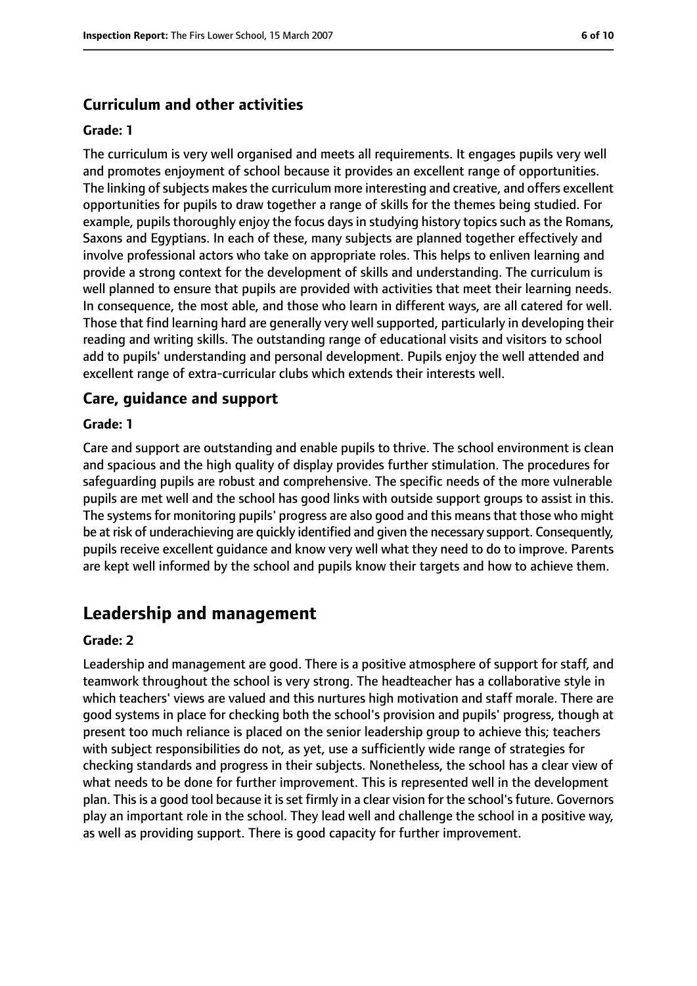## **Curriculum and other activities**

#### **Grade: 1**

The curriculum is very well organised and meets all requirements. It engages pupils very well and promotes enjoyment of school because it provides an excellent range of opportunities. The linking of subjects makes the curriculum more interesting and creative, and offers excellent opportunities for pupils to draw together a range of skills for the themes being studied. For example, pupils thoroughly enjoy the focus days in studying history topics such as the Romans, Saxons and Egyptians. In each of these, many subjects are planned together effectively and involve professional actors who take on appropriate roles. This helps to enliven learning and provide a strong context for the development of skills and understanding. The curriculum is well planned to ensure that pupils are provided with activities that meet their learning needs. In consequence, the most able, and those who learn in different ways, are all catered for well. Those that find learning hard are generally very well supported, particularly in developing their reading and writing skills. The outstanding range of educational visits and visitors to school add to pupils' understanding and personal development. Pupils enjoy the well attended and excellent range of extra-curricular clubs which extends their interests well.

### **Care, guidance and support**

#### **Grade: 1**

Care and support are outstanding and enable pupils to thrive. The school environment is clean and spacious and the high quality of display provides further stimulation. The procedures for safeguarding pupils are robust and comprehensive. The specific needs of the more vulnerable pupils are met well and the school has good links with outside support groups to assist in this. The systems for monitoring pupils' progress are also good and this means that those who might be at risk of underachieving are quickly identified and given the necessary support. Consequently, pupils receive excellent guidance and know very well what they need to do to improve. Parents are kept well informed by the school and pupils know their targets and how to achieve them.

# **Leadership and management**

#### **Grade: 2**

Leadership and management are good. There is a positive atmosphere of support for staff, and teamwork throughout the school is very strong. The headteacher has a collaborative style in which teachers' views are valued and this nurtures high motivation and staff morale. There are good systems in place for checking both the school's provision and pupils' progress, though at present too much reliance is placed on the senior leadership group to achieve this; teachers with subject responsibilities do not, as yet, use a sufficiently wide range of strategies for checking standards and progress in their subjects. Nonetheless, the school has a clear view of what needs to be done for further improvement. This is represented well in the development plan. This is a good tool because it is set firmly in a clear vision for the school's future. Governors play an important role in the school. They lead well and challenge the school in a positive way, as well as providing support. There is good capacity for further improvement.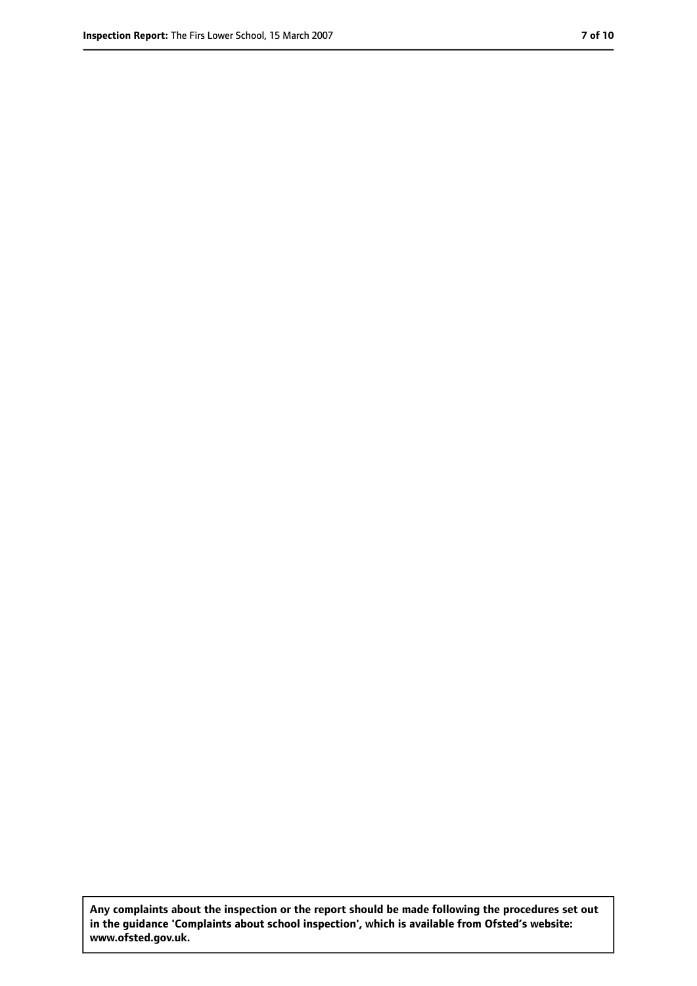**Any complaints about the inspection or the report should be made following the procedures set out in the guidance 'Complaints about school inspection', which is available from Ofsted's website: www.ofsted.gov.uk.**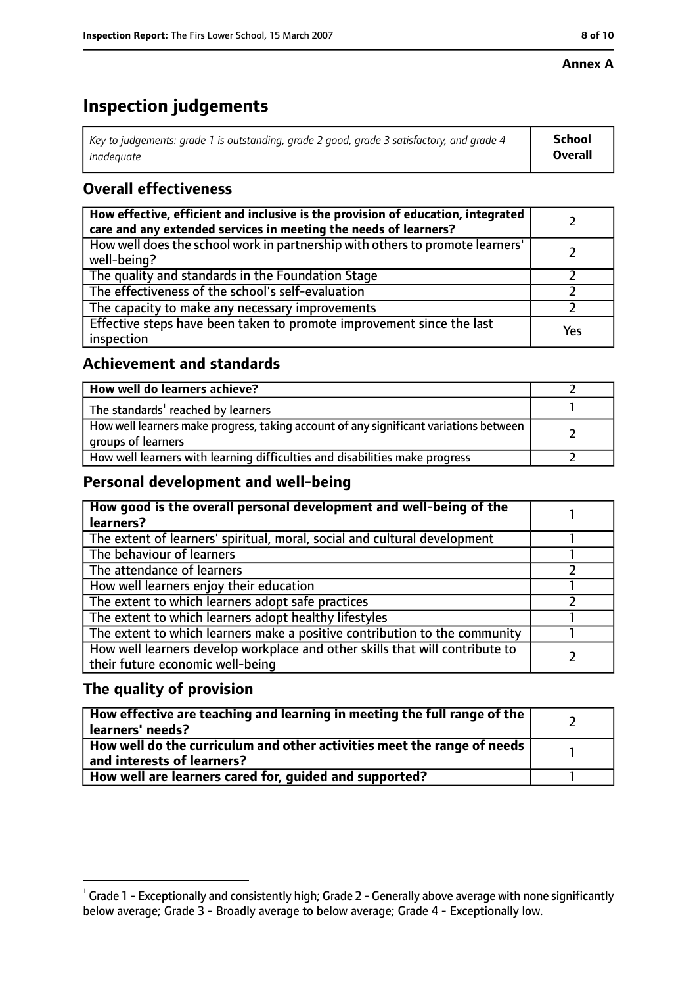#### **Annex A**

# **Inspection judgements**

| Key to judgements: grade 1 is outstanding, grade 2 good, grade 3 satisfactory, and grade 4 $\,$ | <b>School</b>  |
|-------------------------------------------------------------------------------------------------|----------------|
| inadequate                                                                                      | <b>Overall</b> |

## **Overall effectiveness**

| How effective, efficient and inclusive is the provision of education, integrated<br>care and any extended services in meeting the needs of learners? |     |
|------------------------------------------------------------------------------------------------------------------------------------------------------|-----|
| How well does the school work in partnership with others to promote learners'<br>well-being?                                                         |     |
| The quality and standards in the Foundation Stage                                                                                                    |     |
| The effectiveness of the school's self-evaluation                                                                                                    |     |
| The capacity to make any necessary improvements                                                                                                      |     |
| Effective steps have been taken to promote improvement since the last<br>inspection                                                                  | Yes |

## **Achievement and standards**

| How well do learners achieve?                                                                               |  |
|-------------------------------------------------------------------------------------------------------------|--|
| The standards <sup>1</sup> reached by learners                                                              |  |
| How well learners make progress, taking account of any significant variations between<br>groups of learners |  |
| How well learners with learning difficulties and disabilities make progress                                 |  |

## **Personal development and well-being**

| How good is the overall personal development and well-being of the<br>learners?                                  |  |
|------------------------------------------------------------------------------------------------------------------|--|
| The extent of learners' spiritual, moral, social and cultural development                                        |  |
| The behaviour of learners                                                                                        |  |
| The attendance of learners                                                                                       |  |
| How well learners enjoy their education                                                                          |  |
| The extent to which learners adopt safe practices                                                                |  |
| The extent to which learners adopt healthy lifestyles                                                            |  |
| The extent to which learners make a positive contribution to the community                                       |  |
| How well learners develop workplace and other skills that will contribute to<br>their future economic well-being |  |

## **The quality of provision**

| How effective are teaching and learning in meeting the full range of the<br>learners' needs?          |  |
|-------------------------------------------------------------------------------------------------------|--|
| How well do the curriculum and other activities meet the range of needs<br>and interests of learners? |  |
| How well are learners cared for, quided and supported?                                                |  |

 $^1$  Grade 1 - Exceptionally and consistently high; Grade 2 - Generally above average with none significantly below average; Grade 3 - Broadly average to below average; Grade 4 - Exceptionally low.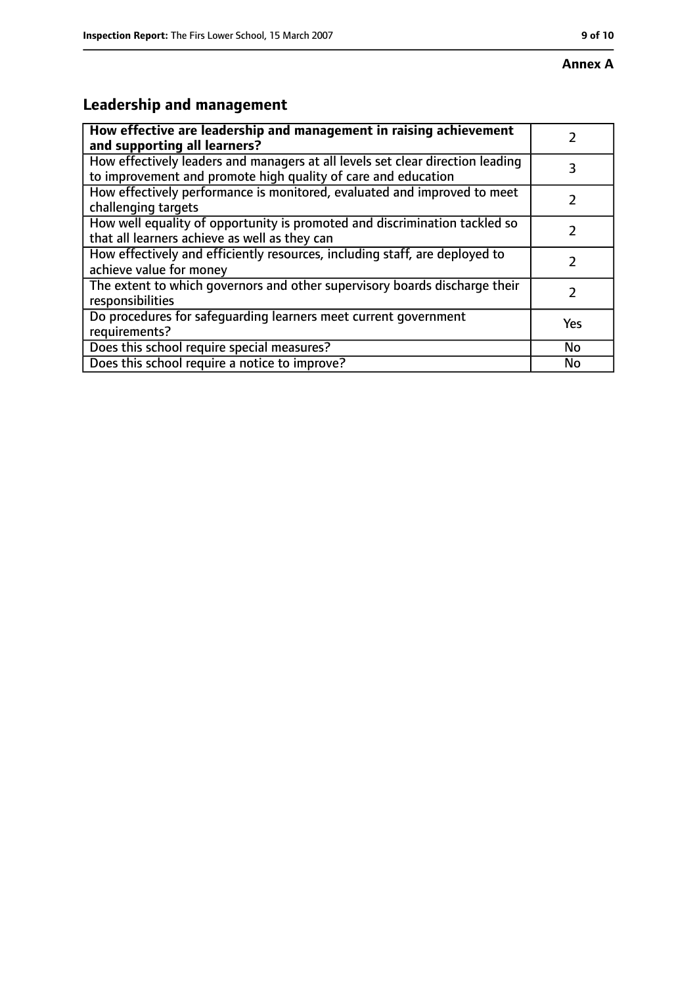## **Annex A**

# **Leadership and management**

| How effective are leadership and management in raising achievement             |     |
|--------------------------------------------------------------------------------|-----|
| and supporting all learners?                                                   |     |
| How effectively leaders and managers at all levels set clear direction leading |     |
| to improvement and promote high quality of care and education                  |     |
| How effectively performance is monitored, evaluated and improved to meet       |     |
| challenging targets                                                            |     |
| How well equality of opportunity is promoted and discrimination tackled so     |     |
| that all learners achieve as well as they can                                  |     |
| How effectively and efficiently resources, including staff, are deployed to    | 7   |
| achieve value for money                                                        |     |
| The extent to which governors and other supervisory boards discharge their     |     |
| responsibilities                                                               |     |
| Do procedures for safequarding learners meet current government                | Yes |
| requirements?                                                                  |     |
| Does this school require special measures?                                     | No  |
| Does this school require a notice to improve?                                  | No  |